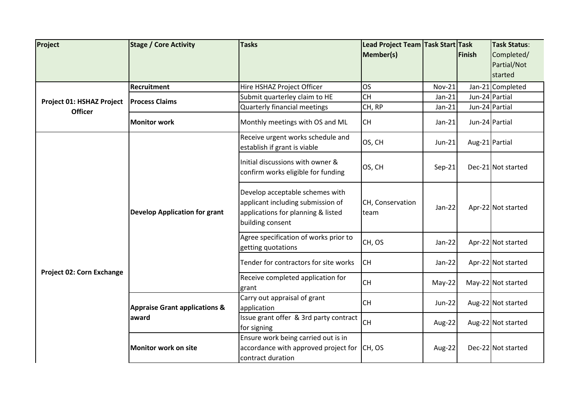| Project                          | <b>Stage / Core Activity</b>                      | <b>Tasks</b>                                                                                                                   | Lead Project Team Task Start Task<br>Member(s) |               | Finish         | <b>Task Status:</b><br>Completed/<br>Partial/Not<br>started |
|----------------------------------|---------------------------------------------------|--------------------------------------------------------------------------------------------------------------------------------|------------------------------------------------|---------------|----------------|-------------------------------------------------------------|
|                                  | Recruitment                                       | Hire HSHAZ Project Officer                                                                                                     | <b>OS</b>                                      | <b>Nov-21</b> |                | Jan-21 Completed                                            |
| Project 01: HSHAZ Project        | <b>Process Claims</b>                             | Submit quarterley claim to HE                                                                                                  | <b>CH</b>                                      | $Jan-21$      | Jun-24 Partial |                                                             |
| <b>Officer</b>                   |                                                   | <b>Quarterly financial meetings</b>                                                                                            | CH, RP                                         | $Jan-21$      | Jun-24 Partial |                                                             |
|                                  | <b>Monitor work</b>                               | Monthly meetings with OS and ML                                                                                                | <b>CH</b>                                      | $Jan-21$      | Jun-24 Partial |                                                             |
|                                  |                                                   | Receive urgent works schedule and<br>establish if grant is viable                                                              | OS, CH                                         | $Jun-21$      | Aug-21 Partial |                                                             |
|                                  | <b>Develop Application for grant</b>              | Initial discussions with owner &<br>confirm works eligible for funding                                                         | OS, CH                                         | $Sep-21$      |                | Dec-21 Not started                                          |
|                                  |                                                   | Develop acceptable schemes with<br>applicant including submission of<br>applications for planning & listed<br>building consent | CH, Conservation<br>team                       | $Jan-22$      |                | Apr-22 Not started                                          |
|                                  |                                                   | Agree specification of works prior to<br>getting quotations                                                                    | CH, OS                                         | Jan-22        |                | Apr-22 Not started                                          |
| <b>Project 02: Corn Exchange</b> |                                                   | Tender for contractors for site works                                                                                          | <b>CH</b>                                      | Jan-22        |                | Apr-22 Not started                                          |
|                                  |                                                   | Receive completed application for<br>grant                                                                                     | <b>CH</b>                                      | May-22        |                | May-22 Not started                                          |
|                                  | <b>Appraise Grant applications &amp;</b><br>award | Carry out appraisal of grant<br>application                                                                                    | <b>CH</b>                                      | <b>Jun-22</b> |                | Aug-22 Not started                                          |
|                                  |                                                   | Issue grant offer & 3rd party contract<br>for signing                                                                          | <b>CH</b>                                      | Aug-22        |                | Aug-22 Not started                                          |
|                                  | <b>Monitor work on site</b>                       | Ensure work being carried out is in<br>accordance with approved project for CH, OS<br>contract duration                        |                                                | Aug-22        |                | Dec-22 Not started                                          |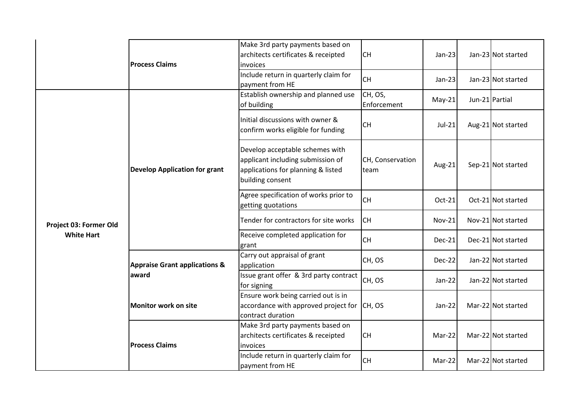|                        | <b>Process Claims</b>                    | Make 3rd party payments based on<br>architects certificates & receipted<br>invoices                                            | <b>CH</b>                | $Jan-23$      |                | Jan-23 Not started |
|------------------------|------------------------------------------|--------------------------------------------------------------------------------------------------------------------------------|--------------------------|---------------|----------------|--------------------|
|                        |                                          | Include return in quarterly claim for<br>payment from HE                                                                       | <b>CH</b>                | $Jan-23$      |                | Jan-23 Not started |
|                        |                                          | Establish ownership and planned use<br>of building                                                                             | CH, OS,<br>Enforcement   | $May-21$      | Jun-21 Partial |                    |
|                        |                                          | Initial discussions with owner &<br>confirm works eligible for funding                                                         | <b>CH</b>                | $Jul-21$      |                | Aug-21 Not started |
|                        | <b>Develop Application for grant</b>     | Develop acceptable schemes with<br>applicant including submission of<br>applications for planning & listed<br>building consent | CH, Conservation<br>team | Aug-21        |                | Sep-21 Not started |
|                        |                                          | Agree specification of works prior to<br>getting quotations                                                                    | <b>CH</b>                | Oct-21        |                | Oct-21 Not started |
| Project 03: Former Old |                                          | Tender for contractors for site works                                                                                          | <b>CH</b>                | <b>Nov-21</b> |                | Nov-21 Not started |
| <b>White Hart</b>      |                                          | Receive completed application for<br>grant                                                                                     | <b>CH</b>                | <b>Dec-21</b> |                | Dec-21 Not started |
|                        | <b>Appraise Grant applications &amp;</b> | Carry out appraisal of grant<br>application                                                                                    | CH, OS                   | <b>Dec-22</b> |                | Jan-22 Not started |
|                        | award                                    | Issue grant offer & 3rd party contract<br>for signing                                                                          | CH, OS                   | Jan-22        |                | Jan-22 Not started |
|                        | Monitor work on site                     | Ensure work being carried out is in<br>accordance with approved project for<br>contract duration                               | CH, OS                   | $Jan-22$      |                | Mar-22 Not started |
|                        | <b>Process Claims</b>                    | Make 3rd party payments based on<br>architects certificates & receipted<br>invoices                                            | <b>CH</b>                | Mar-22        |                | Mar-22 Not started |
|                        |                                          | Include return in quarterly claim for<br>payment from HE                                                                       | <b>CH</b>                | Mar-22        |                | Mar-22 Not started |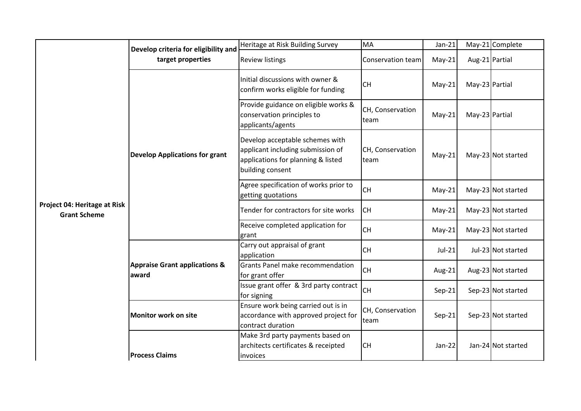|                                                     | Develop criteria for eligibility and              | Heritage at Risk Building Survey                                                                                               | <b>MA</b>                | $Jan-21$ |                | May-21 Complete    |
|-----------------------------------------------------|---------------------------------------------------|--------------------------------------------------------------------------------------------------------------------------------|--------------------------|----------|----------------|--------------------|
|                                                     | target properties                                 | <b>Review listings</b>                                                                                                         | Conservation team        | $May-21$ | Aug-21 Partial |                    |
|                                                     |                                                   | Initial discussions with owner &<br>confirm works eligible for funding                                                         | <b>CH</b>                | $May-21$ | May-23 Partial |                    |
|                                                     |                                                   | Provide guidance on eligible works &<br>conservation principles to<br>applicants/agents                                        | CH, Conservation<br>team | $May-21$ | May-23 Partial |                    |
|                                                     | <b>Develop Applications for grant</b>             | Develop acceptable schemes with<br>applicant including submission of<br>applications for planning & listed<br>building consent | CH, Conservation<br>team | $May-21$ |                | May-23 Not started |
|                                                     |                                                   | Agree specification of works prior to<br>getting quotations                                                                    | <b>CH</b>                | $May-21$ |                | May-23 Not started |
| Project 04: Heritage at Risk<br><b>Grant Scheme</b> |                                                   | Tender for contractors for site works                                                                                          | <b>CH</b>                | $May-21$ |                | May-23 Not started |
|                                                     |                                                   | Receive completed application for<br>grant                                                                                     | <b>CH</b>                | $May-21$ |                | May-23 Not started |
|                                                     |                                                   | Carry out appraisal of grant<br>application                                                                                    | <b>CH</b>                | $Jul-21$ |                | Jul-23 Not started |
|                                                     | <b>Appraise Grant applications &amp;</b><br>award | Grants Panel make recommendation<br>for grant offer                                                                            | <b>CH</b>                | Aug-21   |                | Aug-23 Not started |
|                                                     |                                                   | Issue grant offer & 3rd party contract<br>for signing                                                                          | <b>CH</b>                | $Sep-21$ |                | Sep-23 Not started |
|                                                     | Monitor work on site                              | Ensure work being carried out is in<br>accordance with approved project for<br>contract duration                               | CH, Conservation<br>team | $Sep-21$ |                | Sep-23 Not started |
|                                                     | <b>Process Claims</b>                             | Make 3rd party payments based on<br>architects certificates & receipted<br>invoices                                            | <b>CH</b>                | Jan-22   |                | Jan-24 Not started |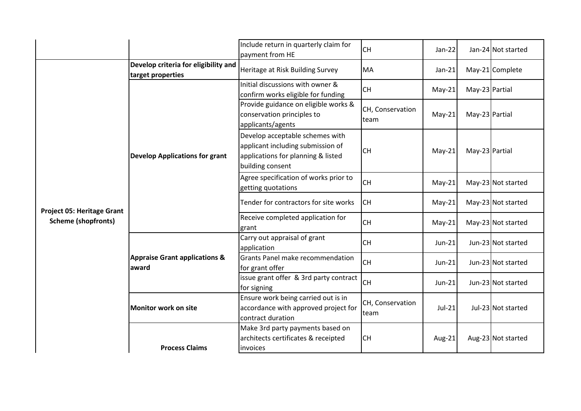|                                   |                                                           | Include return in quarterly claim for<br>payment from HE                                                                       | <b>CH</b>                | Jan-22   |                | Jan-24 Not started |
|-----------------------------------|-----------------------------------------------------------|--------------------------------------------------------------------------------------------------------------------------------|--------------------------|----------|----------------|--------------------|
|                                   | Develop criteria for eligibility and<br>target properties | Heritage at Risk Building Survey                                                                                               | MA                       | $Jan-21$ |                | May-21 Complete    |
|                                   |                                                           | Initial discussions with owner &<br>confirm works eligible for funding                                                         | <b>CH</b>                | $May-21$ | May-23 Partial |                    |
|                                   |                                                           | Provide guidance on eligible works &<br>conservation principles to<br>applicants/agents                                        | CH, Conservation<br>team | $May-21$ | May-23 Partial |                    |
|                                   | <b>Develop Applications for grant</b>                     | Develop acceptable schemes with<br>applicant including submission of<br>applications for planning & listed<br>building consent | <b>CH</b>                | $May-21$ | May-23 Partial |                    |
|                                   |                                                           | Agree specification of works prior to<br>getting quotations                                                                    | <b>CH</b>                | $May-21$ |                | May-23 Not started |
| <b>Project 05: Heritage Grant</b> |                                                           | Tender for contractors for site works                                                                                          | <b>CH</b>                | $May-21$ |                | May-23 Not started |
| <b>Scheme (shopfronts)</b>        |                                                           | Receive completed application for<br>grant                                                                                     | <b>CH</b>                | $May-21$ |                | May-23 Not started |
|                                   |                                                           | Carry out appraisal of grant<br>application                                                                                    | <b>CH</b>                | Jun-21   |                | Jun-23 Not started |
|                                   | <b>Appraise Grant applications &amp;</b><br>award         | Grants Panel make recommendation<br>for grant offer                                                                            | <b>CH</b>                | $Jun-21$ |                | Jun-23 Not started |
|                                   |                                                           | issue grant offer & 3rd party contract<br>for signing                                                                          | <b>CH</b>                | $Jun-21$ |                | Jun-23 Not started |
|                                   | <b>Monitor work on site</b>                               | Ensure work being carried out is in<br>accordance with approved project for<br>contract duration                               | CH, Conservation<br>team | $Jul-21$ |                | Jul-23 Not started |
|                                   | <b>Process Claims</b>                                     | Make 3rd party payments based on<br>architects certificates & receipted<br>invoices                                            | <b>CH</b>                | Aug-21   |                | Aug-23 Not started |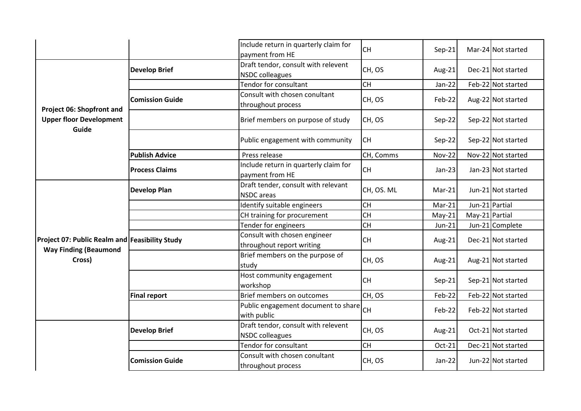|                                                                                |                        | Include return in quarterly claim for<br>payment from HE      | <b>CH</b>  | $Sep-21$      |                | Mar-24 Not started |
|--------------------------------------------------------------------------------|------------------------|---------------------------------------------------------------|------------|---------------|----------------|--------------------|
|                                                                                | <b>Develop Brief</b>   | Draft tendor, consult with relevent<br><b>NSDC</b> colleagues | CH, OS     | Aug-21        |                | Dec-21 Not started |
|                                                                                |                        | <b>Tendor for consultant</b>                                  | <b>CH</b>  | Jan-22        |                | Feb-22 Not started |
| Project 06: Shopfront and                                                      | <b>Comission Guide</b> | Consult with chosen conultant<br>throughout process           | CH, OS     | Feb-22        |                | Aug-22 Not started |
| <b>Upper floor Development</b><br>Guide                                        |                        | Brief members on purpose of study                             | CH, OS     | Sep-22        |                | Sep-22 Not started |
|                                                                                |                        | Public engagement with community                              | <b>CH</b>  | Sep-22        |                | Sep-22 Not started |
|                                                                                | <b>Publish Advice</b>  | Press release                                                 | CH, Comms  | <b>Nov-22</b> |                | Nov-22 Not started |
|                                                                                | <b>Process Claims</b>  | Include return in quarterly claim for<br>payment from HE      | <b>CH</b>  | $Jan-23$      |                | Jan-23 Not started |
|                                                                                | <b>Develop Plan</b>    | Draft tender, consult with relevant<br><b>NSDC</b> areas      | CH, OS. ML | Mar-21        |                | Jun-21 Not started |
|                                                                                |                        | Identify suitable engineers                                   | <b>CH</b>  | $Mar-21$      | Jun-21 Partial |                    |
|                                                                                |                        | CH training for procurement                                   | <b>CH</b>  | $May-21$      | May-21 Partial |                    |
|                                                                                |                        | Tender for engineers                                          | <b>CH</b>  | Jun-21        |                | Jun-21 Complete    |
| Project 07: Public Realm and Feasibility Study<br><b>Way Finding (Beaumond</b> |                        | Consult with chosen engineer<br>throughout report writing     | <b>CH</b>  | Aug-21        |                | Dec-21 Not started |
| Cross)                                                                         |                        | Brief members on the purpose of<br>study                      | CH, OS     | Aug-21        |                | Aug-21 Not started |
|                                                                                |                        | Host community engagement<br>workshop                         | <b>CH</b>  | $Sep-21$      |                | Sep-21 Not started |
|                                                                                | <b>Final report</b>    | Brief members on outcomes                                     | CH, OS     | Feb-22        |                | Feb-22 Not started |
|                                                                                |                        | Public engagement document to share<br>with public            | <b>CH</b>  | Feb-22        |                | Feb-22 Not started |
|                                                                                | <b>Develop Brief</b>   | Draft tendor, consult with relevent<br><b>NSDC</b> colleagues | CH, OS     | Aug-21        |                | Oct-21 Not started |
|                                                                                |                        | Tendor for consultant                                         | <b>CH</b>  | Oct-21        |                | Dec-21 Not started |
|                                                                                | <b>Comission Guide</b> | Consult with chosen conultant<br>throughout process           | CH, OS     | Jan-22        |                | Jun-22 Not started |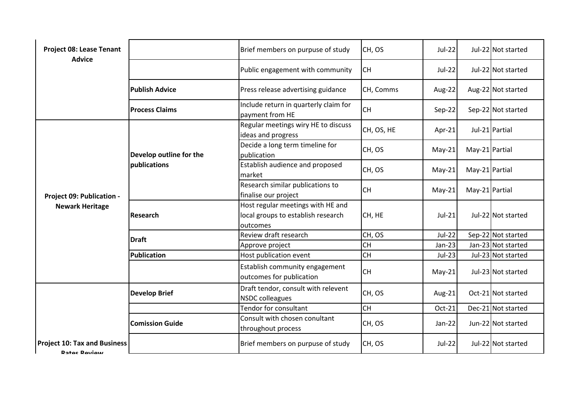| <b>Project 08: Lease Tenant</b><br><b>Advice</b>    |                                         | Brief members on purpuse of study                                                   | CH, OS     | <b>Jul-22</b> |                | Jul-22 Not started |
|-----------------------------------------------------|-----------------------------------------|-------------------------------------------------------------------------------------|------------|---------------|----------------|--------------------|
|                                                     |                                         | Public engagement with community                                                    | <b>CH</b>  | <b>Jul-22</b> |                | Jul-22 Not started |
|                                                     | <b>Publish Advice</b>                   | Press release advertising guidance                                                  | CH, Comms  | Aug-22        |                | Aug-22 Not started |
|                                                     | <b>Process Claims</b>                   | Include return in quarterly claim for<br>payment from HE                            | <b>CH</b>  | Sep-22        |                | Sep-22 Not started |
|                                                     | Develop outline for the<br>publications | Regular meetings wiry HE to discuss<br>ideas and progress                           | CH, OS, HE | Apr-21        |                | Jul-21 Partial     |
|                                                     |                                         | Decide a long term timeline for<br>publication                                      | CH, OS     | $May-21$      | May-21 Partial |                    |
| Project 09: Publication -<br><b>Newark Heritage</b> |                                         | Establish audience and proposed<br>market                                           | CH, OS     | $May-21$      | May-21 Partial |                    |
|                                                     |                                         | Research similar publications to<br>finalise our project                            | <b>CH</b>  | $May-21$      | May-21 Partial |                    |
|                                                     | Research                                | Host regular meetings with HE and<br>local groups to establish research<br>outcomes | CH, HE     | $Jul-21$      |                | Jul-22 Not started |
|                                                     | <b>Draft</b>                            | Review draft research                                                               | CH, OS     | $Jul-22$      |                | Sep-22 Not started |
|                                                     |                                         | Approve project                                                                     | <b>CH</b>  | $Jan-23$      |                | Jan-23 Not started |
|                                                     | Publication                             | Host publication event                                                              | <b>CH</b>  | $Jul-23$      |                | Jul-23 Not started |
|                                                     |                                         | Establish community engagement<br>outcomes for publication                          | <b>CH</b>  | $May-21$      |                | Jul-23 Not started |
|                                                     | <b>Develop Brief</b>                    | Draft tendor, consult with relevent<br><b>NSDC</b> colleagues                       | CH, OS     | Aug-21        |                | Oct-21 Not started |
|                                                     |                                         | Tendor for consultant                                                               | <b>CH</b>  | Oct-21        |                | Dec-21 Not started |
|                                                     | <b>Comission Guide</b>                  | Consult with chosen conultant<br>throughout process                                 | CH, OS     | Jan-22        |                | Jun-22 Not started |
| <b>Project 10: Tax and Business</b><br>Ratos Roviow |                                         | Brief members on purpuse of study                                                   | CH, OS     | <b>Jul-22</b> |                | Jul-22 Not started |